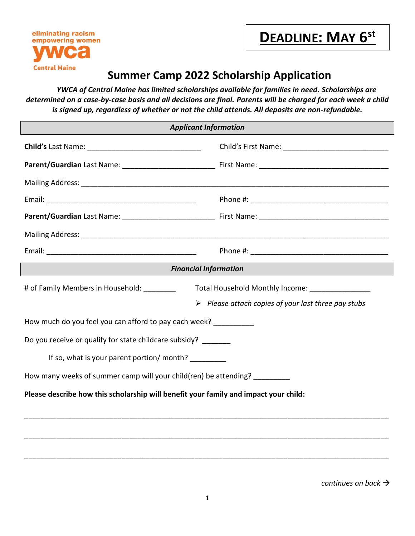

## **Summer Camp 2022 Scholarship Application**

 *YWCA of Central Maine has limited scholarships available for families in need. Scholarships are determined on a case-by-case basis and all decisions are final. Parents will be charged for each week a child is signed up, regardless of whether or not the child attends. All deposits are non-refundable.*

| <b>Applicant Information</b>                                                         |                                                                    |  |
|--------------------------------------------------------------------------------------|--------------------------------------------------------------------|--|
|                                                                                      |                                                                    |  |
|                                                                                      |                                                                    |  |
|                                                                                      |                                                                    |  |
|                                                                                      |                                                                    |  |
|                                                                                      |                                                                    |  |
|                                                                                      |                                                                    |  |
|                                                                                      |                                                                    |  |
|                                                                                      | <b>Financial Information</b>                                       |  |
| # of Family Members in Household: _________                                          | Total Household Monthly Income: ________________                   |  |
|                                                                                      | $\triangleright$ Please attach copies of your last three pay stubs |  |
| How much do you feel you can afford to pay each week?                                |                                                                    |  |
| Do you receive or qualify for state childcare subsidy? _______                       |                                                                    |  |
| If so, what is your parent portion/ month?                                           |                                                                    |  |
| How many weeks of summer camp will your child(ren) be attending?                     |                                                                    |  |
| Please describe how this scholarship will benefit your family and impact your child: |                                                                    |  |
|                                                                                      |                                                                    |  |
|                                                                                      |                                                                    |  |
|                                                                                      |                                                                    |  |

*continues on back*

\_\_\_\_\_\_\_\_\_\_\_\_\_\_\_\_\_\_\_\_\_\_\_\_\_\_\_\_\_\_\_\_\_\_\_\_\_\_\_\_\_\_\_\_\_\_\_\_\_\_\_\_\_\_\_\_\_\_\_\_\_\_\_\_\_\_\_\_\_\_\_\_\_\_\_\_\_\_\_\_\_\_\_\_\_\_\_\_\_\_